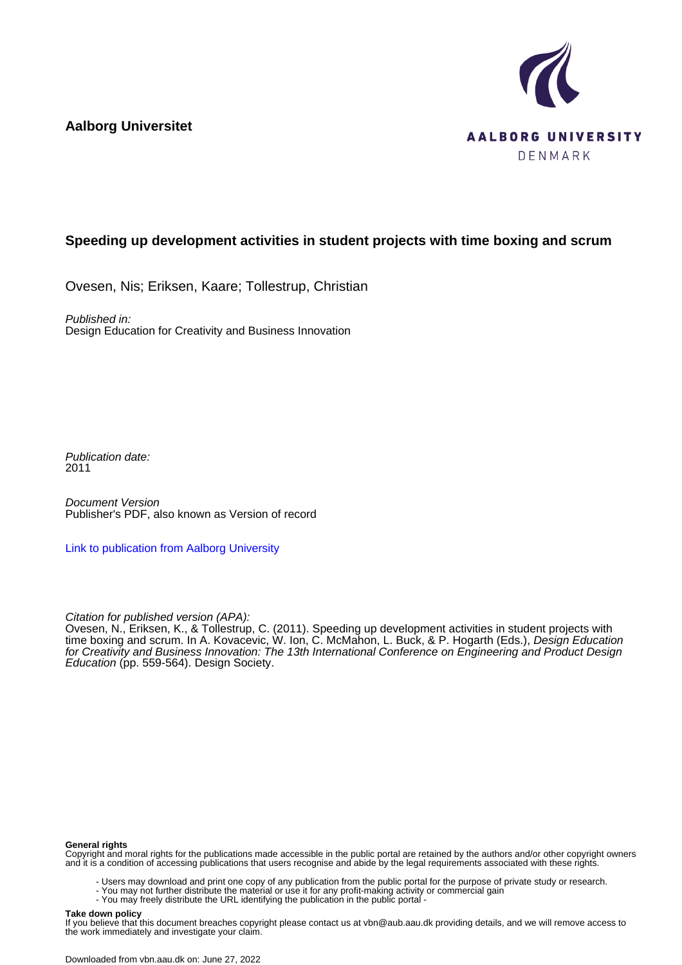**Aalborg Universitet**



# **Speeding up development activities in student projects with time boxing and scrum**

Ovesen, Nis; Eriksen, Kaare; Tollestrup, Christian

Published in: Design Education for Creativity and Business Innovation

Publication date: 2011

Document Version Publisher's PDF, also known as Version of record

[Link to publication from Aalborg University](https://vbn.aau.dk/en/publications/792c799f-0cc7-4384-86ec-40a0fc001f6d)

Citation for published version (APA):

Ovesen, N., Eriksen, K., & Tollestrup, C. (2011). Speeding up development activities in student projects with time boxing and scrum. In A. Kovacevic, W. Ion, C. McMahon, L. Buck, & P. Hogarth (Eds.), *Design Education* for Creativity and Business Innovation: The 13th International Conference on Engineering and Product Design Education (pp. 559-564). Design Society.

#### **General rights**

Copyright and moral rights for the publications made accessible in the public portal are retained by the authors and/or other copyright owners and it is a condition of accessing publications that users recognise and abide by the legal requirements associated with these rights.

- Users may download and print one copy of any publication from the public portal for the purpose of private study or research.
- You may not further distribute the material or use it for any profit-making activity or commercial gain
	- You may freely distribute the URL identifying the publication in the public portal -

#### **Take down policy**

If you believe that this document breaches copyright please contact us at vbn@aub.aau.dk providing details, and we will remove access to the work immediately and investigate your claim.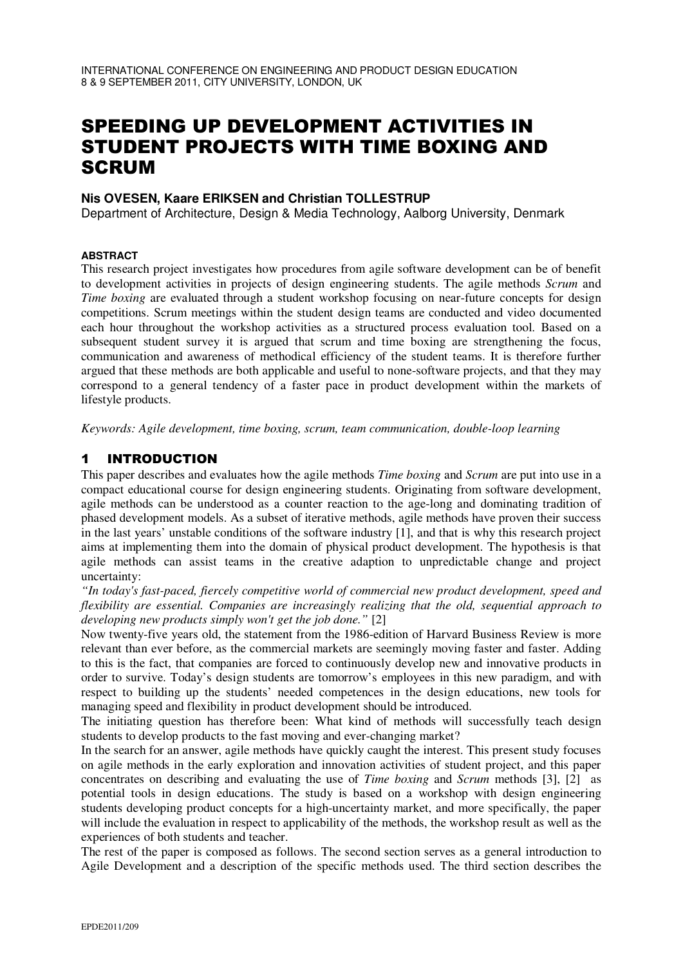# SPEEDING UP DEVELOPMENT ACTIVITIES IN STUDENT PROJECTS WITH TIME BOXING AND **SCRUM**

## **Nis OVESEN, Kaare ERIKSEN and Christian TOLLESTRUP**

Department of Architecture, Design & Media Technology, Aalborg University, Denmark

#### **ABSTRACT**

This research project investigates how procedures from agile software development can be of benefit to development activities in projects of design engineering students. The agile methods *Scrum* and *Time boxing* are evaluated through a student workshop focusing on near-future concepts for design competitions. Scrum meetings within the student design teams are conducted and video documented each hour throughout the workshop activities as a structured process evaluation tool. Based on a subsequent student survey it is argued that scrum and time boxing are strengthening the focus, communication and awareness of methodical efficiency of the student teams. It is therefore further argued that these methods are both applicable and useful to none-software projects, and that they may correspond to a general tendency of a faster pace in product development within the markets of lifestyle products.

*Keywords: Agile development, time boxing, scrum, team communication, double-loop learning*

## 1 INTRODUCTION

This paper describes and evaluates how the agile methods *Time boxing* and *Scrum* are put into use in a compact educational course for design engineering students. Originating from software development, agile methods can be understood as a counter reaction to the age-long and dominating tradition of phased development models. As a subset of iterative methods, agile methods have proven their success in the last years' unstable conditions of the software industry [1], and that is why this research project aims at implementing them into the domain of physical product development. The hypothesis is that agile methods can assist teams in the creative adaption to unpredictable change and project uncertainty:

*"In today's fast-paced, fiercely competitive world of commercial new product development, speed and flexibility are essential. Companies are increasingly realizing that the old, sequential approach to developing new products simply won't get the job done."* [2]

Now twenty-five years old, the statement from the 1986-edition of Harvard Business Review is more relevant than ever before, as the commercial markets are seemingly moving faster and faster. Adding to this is the fact, that companies are forced to continuously develop new and innovative products in order to survive. Today's design students are tomorrow's employees in this new paradigm, and with respect to building up the students' needed competences in the design educations, new tools for managing speed and flexibility in product development should be introduced.

The initiating question has therefore been: What kind of methods will successfully teach design students to develop products to the fast moving and ever-changing market?

In the search for an answer, agile methods have quickly caught the interest. This present study focuses on agile methods in the early exploration and innovation activities of student project, and this paper concentrates on describing and evaluating the use of *Time boxing* and *Scrum* methods [3], [2] as potential tools in design educations. The study is based on a workshop with design engineering students developing product concepts for a high-uncertainty market, and more specifically, the paper will include the evaluation in respect to applicability of the methods, the workshop result as well as the experiences of both students and teacher.

The rest of the paper is composed as follows. The second section serves as a general introduction to Agile Development and a description of the specific methods used. The third section describes the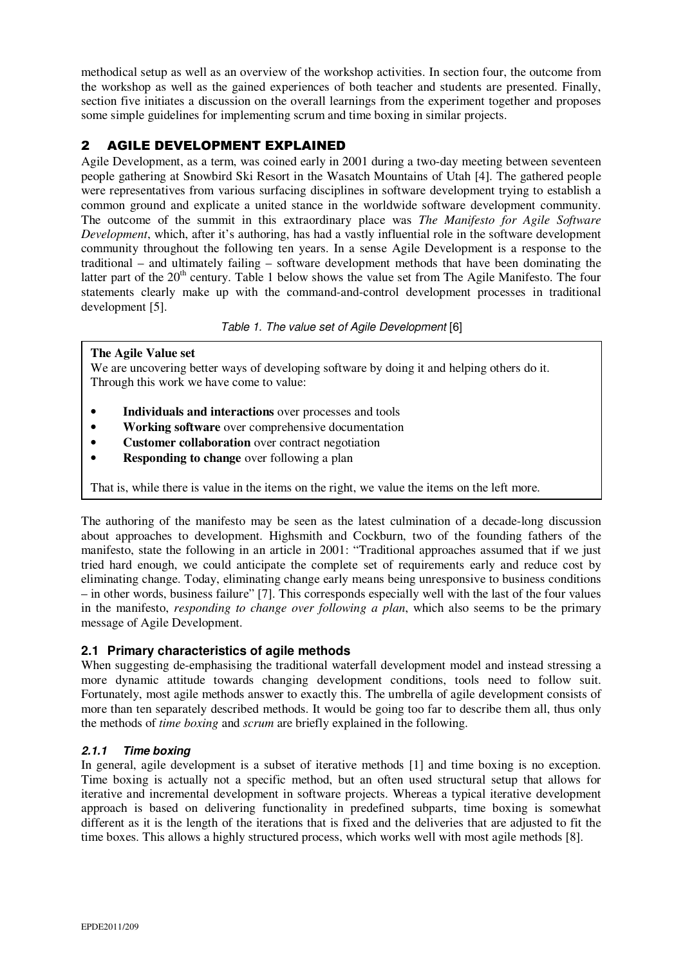methodical setup as well as an overview of the workshop activities. In section four, the outcome from the workshop as well as the gained experiences of both teacher and students are presented. Finally, section five initiates a discussion on the overall learnings from the experiment together and proposes some simple guidelines for implementing scrum and time boxing in similar projects.

# 2 AGILE DEVELOPMENT EXPLAINED

Agile Development, as a term, was coined early in 2001 during a two-day meeting between seventeen people gathering at Snowbird Ski Resort in the Wasatch Mountains of Utah [4]. The gathered people were representatives from various surfacing disciplines in software development trying to establish a common ground and explicate a united stance in the worldwide software development community. The outcome of the summit in this extraordinary place was *The Manifesto for Agile Software Development*, which, after it's authoring, has had a vastly influential role in the software development community throughout the following ten years. In a sense Agile Development is a response to the traditional – and ultimately failing – software development methods that have been dominating the latter part of the 20<sup>th</sup> century. Table 1 below shows the value set from The Agile Manifesto. The four statements clearly make up with the command-and-control development processes in traditional development [5].

Table 1. The value set of Agile Development [6]

#### **The Agile Value set**

We are uncovering better ways of developing software by doing it and helping others do it. Through this work we have come to value:

- **Individuals and interactions** over processes and tools
- **Working software** over comprehensive documentation
- **Customer collaboration** over contract negotiation
- **Responding to change** over following a plan

That is, while there is value in the items on the right, we value the items on the left more.

The authoring of the manifesto may be seen as the latest culmination of a decade-long discussion about approaches to development. Highsmith and Cockburn, two of the founding fathers of the manifesto, state the following in an article in 2001: "Traditional approaches assumed that if we just tried hard enough, we could anticipate the complete set of requirements early and reduce cost by eliminating change. Today, eliminating change early means being unresponsive to business conditions – in other words, business failure" [7]. This corresponds especially well with the last of the four values in the manifesto, *responding to change over following a plan*, which also seems to be the primary message of Agile Development.

## **2.1 Primary characteristics of agile methods**

When suggesting de-emphasising the traditional waterfall development model and instead stressing a more dynamic attitude towards changing development conditions, tools need to follow suit. Fortunately, most agile methods answer to exactly this. The umbrella of agile development consists of more than ten separately described methods. It would be going too far to describe them all, thus only the methods of *time boxing* and *scrum* are briefly explained in the following.

#### **2.1.1 Time boxing**

In general, agile development is a subset of iterative methods [1] and time boxing is no exception. Time boxing is actually not a specific method, but an often used structural setup that allows for iterative and incremental development in software projects. Whereas a typical iterative development approach is based on delivering functionality in predefined subparts, time boxing is somewhat different as it is the length of the iterations that is fixed and the deliveries that are adjusted to fit the time boxes. This allows a highly structured process, which works well with most agile methods [8].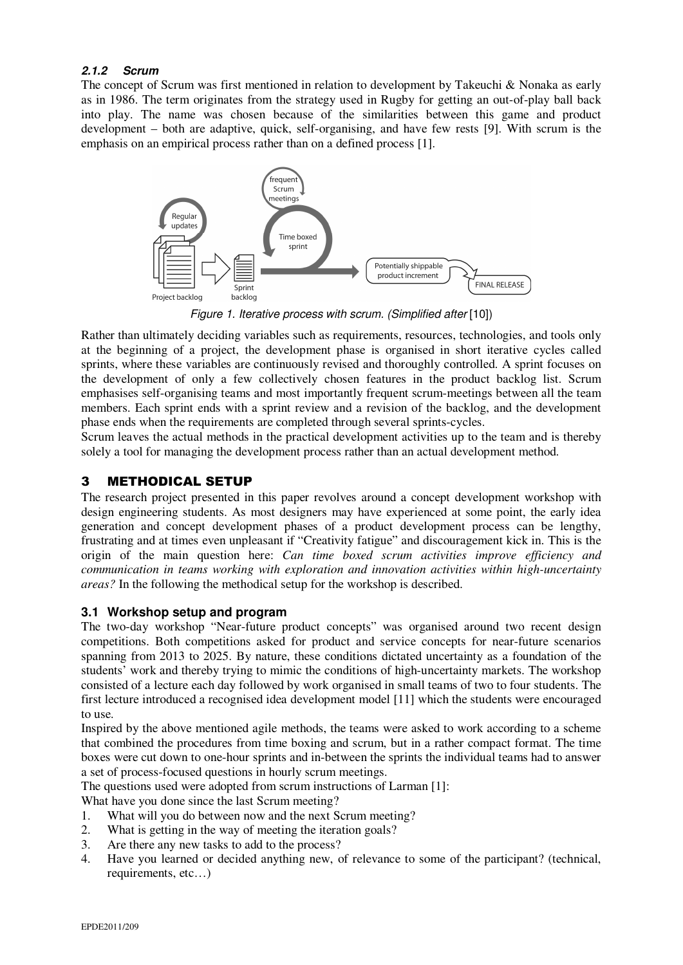#### **2.1.2 Scrum**

The concept of Scrum was first mentioned in relation to development by Takeuchi & Nonaka as early as in 1986. The term originates from the strategy used in Rugby for getting an out-of-play ball back into play. The name was chosen because of the similarities between this game and product development – both are adaptive, quick, self-organising, and have few rests [9]. With scrum is the emphasis on an empirical process rather than on a defined process [1].



Figure 1. Iterative process with scrum. (Simplified after [10])

Rather than ultimately deciding variables such as requirements, resources, technologies, and tools only at the beginning of a project, the development phase is organised in short iterative cycles called sprints, where these variables are continuously revised and thoroughly controlled. A sprint focuses on the development of only a few collectively chosen features in the product backlog list. Scrum emphasises self-organising teams and most importantly frequent scrum-meetings between all the team members. Each sprint ends with a sprint review and a revision of the backlog, and the development phase ends when the requirements are completed through several sprints-cycles.

Scrum leaves the actual methods in the practical development activities up to the team and is thereby solely a tool for managing the development process rather than an actual development method.

# 3 METHODICAL SETUP

The research project presented in this paper revolves around a concept development workshop with design engineering students. As most designers may have experienced at some point, the early idea generation and concept development phases of a product development process can be lengthy, frustrating and at times even unpleasant if "Creativity fatigue" and discouragement kick in. This is the origin of the main question here: *Can time boxed scrum activities improve efficiency and communication in teams working with exploration and innovation activities within high-uncertainty areas?* In the following the methodical setup for the workshop is described.

## **3.1 Workshop setup and program**

The two-day workshop "Near-future product concepts" was organised around two recent design competitions. Both competitions asked for product and service concepts for near-future scenarios spanning from 2013 to 2025. By nature, these conditions dictated uncertainty as a foundation of the students' work and thereby trying to mimic the conditions of high-uncertainty markets. The workshop consisted of a lecture each day followed by work organised in small teams of two to four students. The first lecture introduced a recognised idea development model [11] which the students were encouraged to use.

Inspired by the above mentioned agile methods, the teams were asked to work according to a scheme that combined the procedures from time boxing and scrum, but in a rather compact format. The time boxes were cut down to one-hour sprints and in-between the sprints the individual teams had to answer a set of process-focused questions in hourly scrum meetings.

The questions used were adopted from scrum instructions of Larman [1]:

What have you done since the last Scrum meeting?

- 1. What will you do between now and the next Scrum meeting?
- 2. What is getting in the way of meeting the iteration goals?
- 3. Are there any new tasks to add to the process?
- 4. Have you learned or decided anything new, of relevance to some of the participant? (technical, requirements, etc…)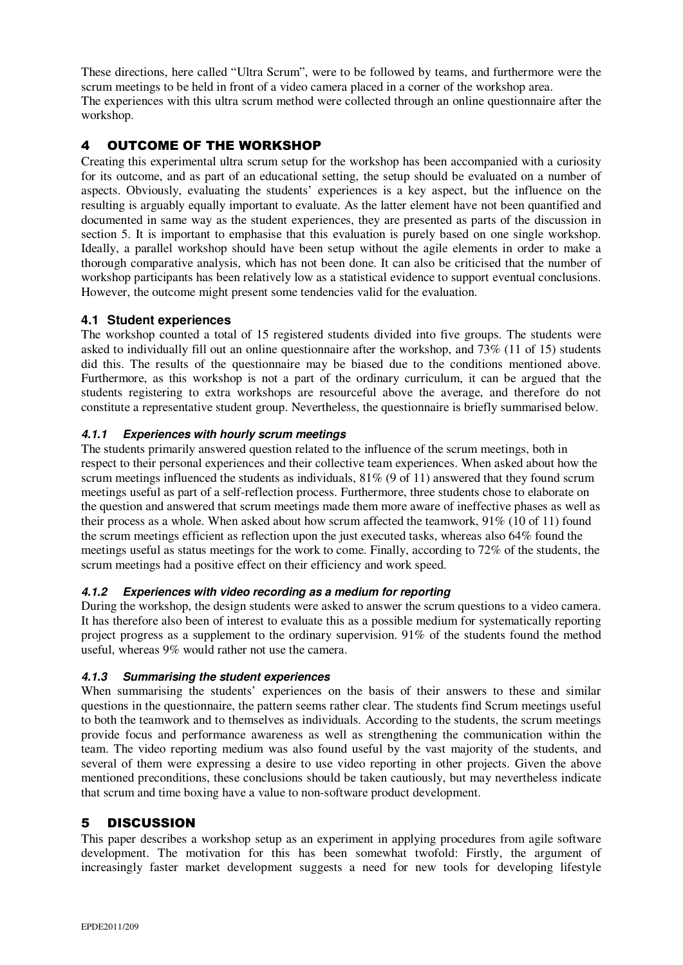These directions, here called "Ultra Scrum", were to be followed by teams, and furthermore were the scrum meetings to be held in front of a video camera placed in a corner of the workshop area. The experiences with this ultra scrum method were collected through an online questionnaire after the workshop.

# 4 OUTCOME OF THE WORKSHOP

Creating this experimental ultra scrum setup for the workshop has been accompanied with a curiosity for its outcome, and as part of an educational setting, the setup should be evaluated on a number of aspects. Obviously, evaluating the students' experiences is a key aspect, but the influence on the resulting is arguably equally important to evaluate. As the latter element have not been quantified and documented in same way as the student experiences, they are presented as parts of the discussion in section 5. It is important to emphasise that this evaluation is purely based on one single workshop. Ideally, a parallel workshop should have been setup without the agile elements in order to make a thorough comparative analysis, which has not been done. It can also be criticised that the number of workshop participants has been relatively low as a statistical evidence to support eventual conclusions. However, the outcome might present some tendencies valid for the evaluation.

# **4.1 Student experiences**

The workshop counted a total of 15 registered students divided into five groups. The students were asked to individually fill out an online questionnaire after the workshop, and 73% (11 of 15) students did this. The results of the questionnaire may be biased due to the conditions mentioned above. Furthermore, as this workshop is not a part of the ordinary curriculum, it can be argued that the students registering to extra workshops are resourceful above the average, and therefore do not constitute a representative student group. Nevertheless, the questionnaire is briefly summarised below.

# **4.1.1 Experiences with hourly scrum meetings**

The students primarily answered question related to the influence of the scrum meetings, both in respect to their personal experiences and their collective team experiences. When asked about how the scrum meetings influenced the students as individuals, 81% (9 of 11) answered that they found scrum meetings useful as part of a self-reflection process. Furthermore, three students chose to elaborate on the question and answered that scrum meetings made them more aware of ineffective phases as well as their process as a whole. When asked about how scrum affected the teamwork, 91% (10 of 11) found the scrum meetings efficient as reflection upon the just executed tasks, whereas also 64% found the meetings useful as status meetings for the work to come. Finally, according to 72% of the students, the scrum meetings had a positive effect on their efficiency and work speed.

## **4.1.2 Experiences with video recording as a medium for reporting**

During the workshop, the design students were asked to answer the scrum questions to a video camera. It has therefore also been of interest to evaluate this as a possible medium for systematically reporting project progress as a supplement to the ordinary supervision. 91% of the students found the method useful, whereas 9% would rather not use the camera.

## **4.1.3 Summarising the student experiences**

When summarising the students' experiences on the basis of their answers to these and similar questions in the questionnaire, the pattern seems rather clear. The students find Scrum meetings useful to both the teamwork and to themselves as individuals. According to the students, the scrum meetings provide focus and performance awareness as well as strengthening the communication within the team. The video reporting medium was also found useful by the vast majority of the students, and several of them were expressing a desire to use video reporting in other projects. Given the above mentioned preconditions, these conclusions should be taken cautiously, but may nevertheless indicate that scrum and time boxing have a value to non-software product development.

# 5 DISCUSSION

This paper describes a workshop setup as an experiment in applying procedures from agile software development. The motivation for this has been somewhat twofold: Firstly, the argument of increasingly faster market development suggests a need for new tools for developing lifestyle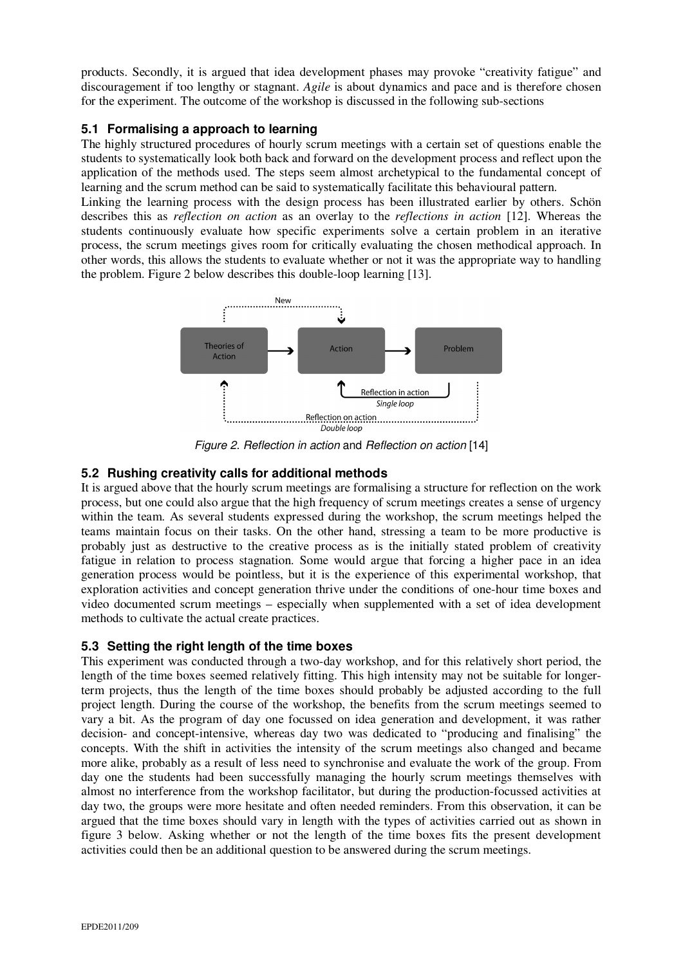products. Secondly, it is argued that idea development phases may provoke "creativity fatigue" and discouragement if too lengthy or stagnant. *Agile* is about dynamics and pace and is therefore chosen for the experiment. The outcome of the workshop is discussed in the following sub-sections

# **5.1 Formalising a approach to learning**

The highly structured procedures of hourly scrum meetings with a certain set of questions enable the students to systematically look both back and forward on the development process and reflect upon the application of the methods used. The steps seem almost archetypical to the fundamental concept of learning and the scrum method can be said to systematically facilitate this behavioural pattern.

Linking the learning process with the design process has been illustrated earlier by others. Schön describes this as *reflection on action* as an overlay to the *reflections in action* [12]. Whereas the students continuously evaluate how specific experiments solve a certain problem in an iterative process, the scrum meetings gives room for critically evaluating the chosen methodical approach. In other words, this allows the students to evaluate whether or not it was the appropriate way to handling the problem. Figure 2 below describes this double-loop learning [13].



Figure 2. Reflection in action and Reflection on action [14]

# **5.2 Rushing creativity calls for additional methods**

It is argued above that the hourly scrum meetings are formalising a structure for reflection on the work process, but one could also argue that the high frequency of scrum meetings creates a sense of urgency within the team. As several students expressed during the workshop, the scrum meetings helped the teams maintain focus on their tasks. On the other hand, stressing a team to be more productive is probably just as destructive to the creative process as is the initially stated problem of creativity fatigue in relation to process stagnation. Some would argue that forcing a higher pace in an idea generation process would be pointless, but it is the experience of this experimental workshop, that exploration activities and concept generation thrive under the conditions of one-hour time boxes and video documented scrum meetings – especially when supplemented with a set of idea development methods to cultivate the actual create practices.

## **5.3 Setting the right length of the time boxes**

This experiment was conducted through a two-day workshop, and for this relatively short period, the length of the time boxes seemed relatively fitting. This high intensity may not be suitable for longerterm projects, thus the length of the time boxes should probably be adjusted according to the full project length. During the course of the workshop, the benefits from the scrum meetings seemed to vary a bit. As the program of day one focussed on idea generation and development, it was rather decision- and concept-intensive, whereas day two was dedicated to "producing and finalising" the concepts. With the shift in activities the intensity of the scrum meetings also changed and became more alike, probably as a result of less need to synchronise and evaluate the work of the group. From day one the students had been successfully managing the hourly scrum meetings themselves with almost no interference from the workshop facilitator, but during the production-focussed activities at day two, the groups were more hesitate and often needed reminders. From this observation, it can be argued that the time boxes should vary in length with the types of activities carried out as shown in figure 3 below. Asking whether or not the length of the time boxes fits the present development activities could then be an additional question to be answered during the scrum meetings.